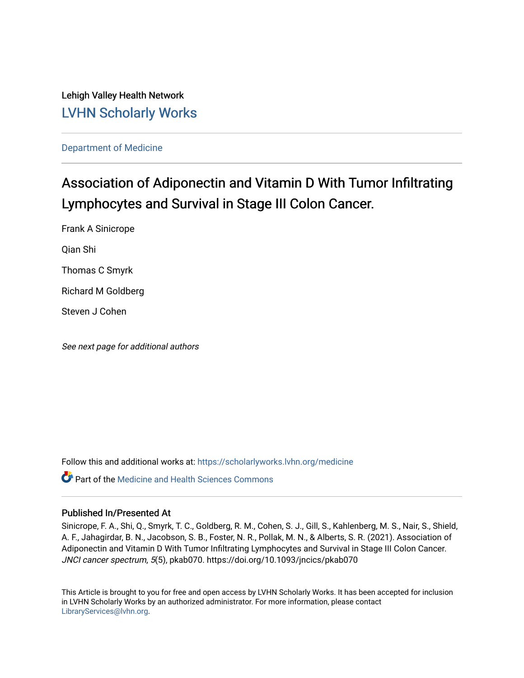Lehigh Valley Health Network [LVHN Scholarly Works](https://scholarlyworks.lvhn.org/)

[Department of Medicine](https://scholarlyworks.lvhn.org/medicine) 

# Association of Adiponectin and Vitamin D With Tumor Infiltrating Lymphocytes and Survival in Stage III Colon Cancer.

Frank A Sinicrope

Qian Shi

Thomas C Smyrk

Richard M Goldberg

Steven J Cohen

See next page for additional authors

Follow this and additional works at: [https://scholarlyworks.lvhn.org/medicine](https://scholarlyworks.lvhn.org/medicine?utm_source=scholarlyworks.lvhn.org%2Fmedicine%2F1902&utm_medium=PDF&utm_campaign=PDFCoverPages) 

**Part of the Medicine and Health Sciences Commons** 

# Published In/Presented At

Sinicrope, F. A., Shi, Q., Smyrk, T. C., Goldberg, R. M., Cohen, S. J., Gill, S., Kahlenberg, M. S., Nair, S., Shield, A. F., Jahagirdar, B. N., Jacobson, S. B., Foster, N. R., Pollak, M. N., & Alberts, S. R. (2021). Association of Adiponectin and Vitamin D With Tumor Infiltrating Lymphocytes and Survival in Stage III Colon Cancer. JNCI cancer spectrum, 5(5), pkab070. https://doi.org/10.1093/jncics/pkab070

This Article is brought to you for free and open access by LVHN Scholarly Works. It has been accepted for inclusion in LVHN Scholarly Works by an authorized administrator. For more information, please contact [LibraryServices@lvhn.org](mailto:LibraryServices@lvhn.org).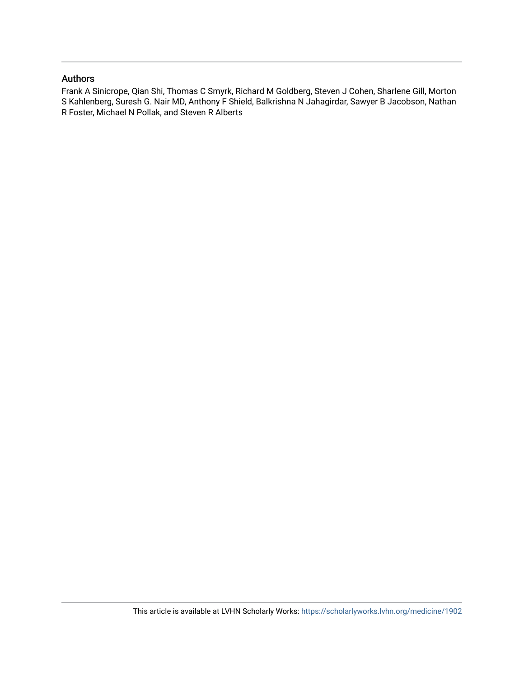# Authors

Frank A Sinicrope, Qian Shi, Thomas C Smyrk, Richard M Goldberg, Steven J Cohen, Sharlene Gill, Morton S Kahlenberg, Suresh G. Nair MD, Anthony F Shield, Balkrishna N Jahagirdar, Sawyer B Jacobson, Nathan R Foster, Michael N Pollak, and Steven R Alberts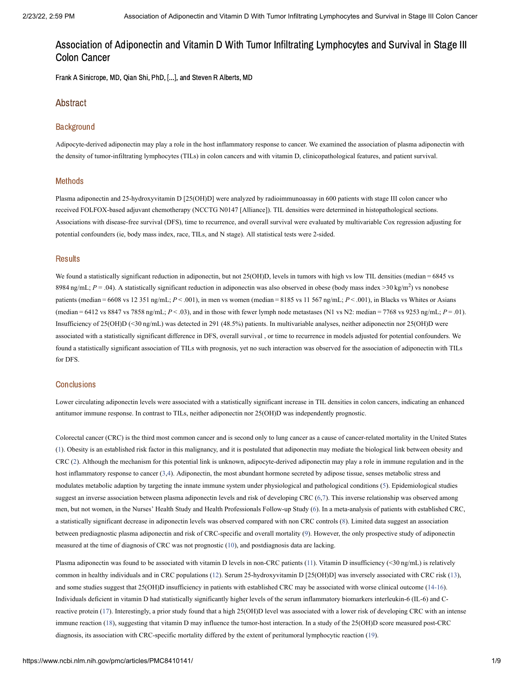Frank A Sinicrope, MD, Qian Shi, PhD, [...], and Steven R Alberts, MD

## Abstract

#### **Background**

Adipocyte-derived adiponectin may play a role in the host inflammatory response to cancer. We examined the association of plasma adiponectin with the density of tumor-infiltrating lymphocytes (TILs) in colon cancers and with vitamin D, clinicopathological features, and patient survival.

#### Methods

Plasma adiponectin and 25-hydroxyvitamin D [25(OH)D] were analyzed by radioimmunoassay in 600 patients with stage III colon cancer who received FOLFOX-based adjuvant chemotherapy (NCCTG N0147 [Alliance]). TIL densities were determined in histopathological sections. Associations with disease-free survival (DFS), time to recurrence, and overall survival were evaluated by multivariable Cox regression adjusting for potential confounders (ie, body mass index, race, TILs, and N stage). All statistical tests were 2-sided.

#### **Results**

We found a statistically significant reduction in adiponectin, but not 25(OH)D, levels in tumors with high vs low TIL densities (median = 6845 vs 8984 ng/mL;  $P = .04$ ). A statistically significant reduction in adiponectin was also observed in obese (body mass index >30 kg/m<sup>2</sup>) vs nonobese patients (median = 6608 vs 12 351 ng/mL;  $P < .001$ ), in men vs women (median = 8185 vs 11 567 ng/mL;  $P < .001$ ), in Blacks vs Whites or Asians (median = 6412 vs 8847 vs 7858 ng/mL; *P* < .03), and in those with fewer lymph node metastases (N1 vs N2: median = 7768 vs 9253 ng/mL; *P* = .01). Insufficiency of 25(OH)D (<30 ng/mL) was detected in 291 (48.5%) patients. In multivariable analyses, neither adiponectin nor 25(OH)D were associated with a statistically significant difference in DFS, overall survival , or time to recurrence in models adjusted for potential confounders. We found a statistically significant association of TILs with prognosis, yet no such interaction was observed for the association of adiponectin with TILs for DFS.

#### **Conclusions**

Lower circulating adiponectin levels were associated with a statistically significant increase in TIL densities in colon cancers, indicating an enhanced antitumor immune response. In contrast to TILs, neither adiponectin nor 25(OH)D was independently prognostic.

Colorectal cancer (CRC) is the third most common cancer and is second only to lung cancer as a cause of cancer-related mortality in the United States ([1\)](#page-8-0). Obesity is an established risk factor in this malignancy, and it is postulated that adiponectin may mediate the biological link between obesity and CRC ([2\)](#page-8-1). Although the mechanism for this potential link is unknown, adipocyte-derived adiponectin may play a role in immune regulation and in the host inflammatory response to cancer ([3](#page-8-2),[4](#page-8-3)). Adiponectin, the most abundant hormone secreted by adipose tissue, senses metabolic stress and modulates metabolic adaption by targeting the innate immune system under physiological and pathological conditions ([5](#page-8-4)). Epidemiological studies suggest an inverse association between plasma adiponectin levels and risk of developing CRC ([6,](#page-8-5)[7\)](#page-8-6). This inverse relationship was observed among men, but not women, in the Nurses' Health Study and Health Professionals Follow-up Study ([6\)](#page-8-5). In a meta-analysis of patients with established CRC, a statistically significant decrease in adiponectin levels was observed compared with non CRC controls ([8\)](#page-8-7). Limited data suggest an association between prediagnostic plasma adiponectin and risk of CRC-specific and overall mortality [\(9](#page-8-8)). However, the only prospective study of adiponectin measured at the time of diagnosis of CRC was not prognostic ([10\)](#page-8-9), and postdiagnosis data are lacking.

Plasma adiponectin was found to be associated with vitamin D levels in non-CRC patients [\(11](#page-8-10)). Vitamin D insufficiency (<30 ng/mL) is relatively common in healthy individuals and in CRC populations ([12\)](#page-8-11). Serum 25-hydroxyvitamin D [25(OH)D] was inversely associated with CRC risk [\(13](#page-8-12)), and some studies suggest that 25(OH)D insufficiency in patients with established CRC may be associated with worse clinical outcome ([14-16\)](#page-8-13). Individuals deficient in vitamin D had statistically significantly higher levels of the serum inflammatory biomarkers interleukin-6 (IL-6) and Creactive protein ([17](#page-8-14)). Interestingly, a prior study found that a high 25(OH)D level was associated with a lower risk of developing CRC with an intense immune reaction ([18\)](#page-8-15), suggesting that vitamin D may influence the tumor-host interaction. In a study of the 25(OH)D score measured post-CRC diagnosis, its association with CRC-specific mortality differed by the extent of peritumoral lymphocytic reaction [\(19](#page-8-16)).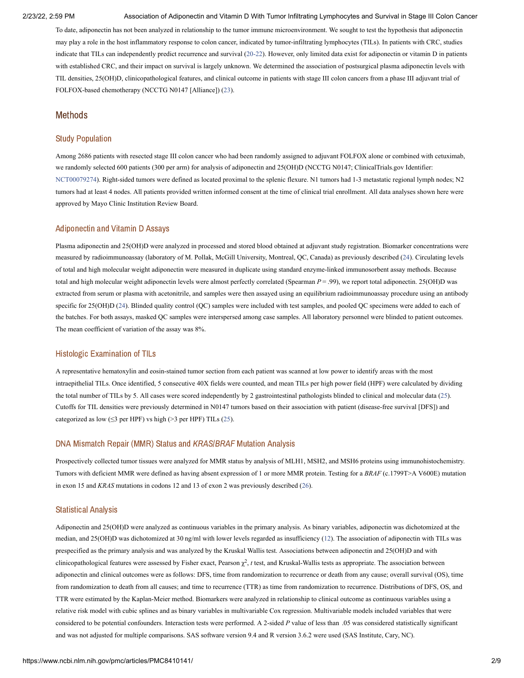To date, adiponectin has not been analyzed in relationship to the tumor immune microenvironment. We sought to test the hypothesis that adiponectin may play a role in the host inflammatory response to colon cancer, indicated by tumor-infiltrating lymphocytes (TILs). In patients with CRC, studies indicate that TILs can independently predict recurrence and survival [\(20-22](#page-9-0)). However, only limited data exist for adiponectin or vitamin D in patients with established CRC, and their impact on survival is largely unknown. We determined the association of postsurgical plasma adiponectin levels with TIL densities, 25(OH)D, clinicopathological features, and clinical outcome in patients with stage III colon cancers from a phase III adjuvant trial of FOLFOX-based chemotherapy (NCCTG N0147 [Alliance]) ([23\)](#page-9-1).

#### Methods

#### Study Population

Among 2686 patients with resected stage III colon cancer who had been randomly assigned to adjuvant FOLFOX alone or combined with cetuximab, we randomly selected 600 patients (300 per arm) for analysis of adiponectin and 25(OH)D (NCCTG N0147; ClinicalTrials.gov Identifier: [NCT00079274\)](https://clinicaltrials.gov/ct2/show/NCT00079274). Right-sided tumors were defined as located proximal to the splenic flexure. N1 tumors had 1-3 metastatic regional lymph nodes; N2 tumors had at least 4 nodes. All patients provided written informed consent at the time of clinical trial enrollment. All data analyses shown here were approved by Mayo Clinic Institution Review Board.

## Adiponectin and Vitamin D Assays

Plasma adiponectin and 25(OH)D were analyzed in processed and stored blood obtained at adjuvant study registration. Biomarker concentrations were measured by radioimmunoassay (laboratory of M. Pollak, McGill University, Montreal, QC, Canada) as previously described ([24\)](#page-9-2). Circulating levels of total and high molecular weight adiponectin were measured in duplicate using standard enzyme-linked immunosorbent assay methods. Because total and high molecular weight adiponectin levels were almost perfectly correlated (Spearman *P* = .99), we report total adiponectin. 25(OH)D was extracted from serum or plasma with acetonitrile, and samples were then assayed using an equilibrium radioimmunoassay procedure using an antibody specific for 25(OH)D [\(24\)](#page-9-2). Blinded quality control (QC) samples were included with test samples, and pooled QC specimens were added to each of the batches. For both assays, masked QC samples were interspersed among case samples. All laboratory personnel were blinded to patient outcomes. The mean coefficient of variation of the assay was 8%.

#### Histologic Examination of TILs

A representative hematoxylin and eosin-stained tumor section from each patient was scanned at low power to identify areas with the most intraepithelial TILs. Once identified, 5 consecutive 40X fields were counted, and mean TILs per high power field (HPF) were calculated by dividing the total number of TILs by 5. All cases were scored independently by 2 gastrointestinal pathologists blinded to clinical and molecular data [\(25](#page-9-3)). Cutoffs for TIL densities were previously determined in N0147 tumors based on their association with patient (disease-free survival [DFS]) and categorized as low ( $\leq$ 3 per HPF) vs high (>3 per HPF) TILs ([25](#page-9-3)).

#### DNA Mismatch Repair (MMR) Status and KRAS/BRAF Mutation Analysis

Prospectively collected tumor tissues were analyzed for MMR status by analysis of MLH1, MSH2, and MSH6 proteins using immunohistochemistry. Tumors with deficient MMR were defined as having absent expression of 1 or more MMR protein. Testing for a *BRAF* (c.1799T>A V600E) mutation in exon 15 and *KRAS* mutations in codons 12 and 13 of exon 2 was previously described ([26\)](#page-9-4).

#### Statistical Analysis

Adiponectin and 25(OH)D were analyzed as continuous variables in the primary analysis. As binary variables, adiponectin was dichotomized at the median, and 25(OH)D was dichotomized at 30 ng/ml with lower levels regarded as insufficiency [\(12\)](#page-8-11). The association of adiponectin with TILs was prespecified as the primary analysis and was analyzed by the Kruskal Wallis test. Associations between adiponectin and 25(OH)D and with clinicopathological features were assessed by Fisher exact, Pearson  $\chi^2$ , *t* test, and Kruskal-Wallis tests as appropriate. The association between adiponectin and clinical outcomes were as follows: DFS, time from randomization to recurrence or death from any cause; overall survival (OS), time from randomization to death from all causes; and time to recurrence (TTR) as time from randomization to recurrence. Distributions of DFS, OS, and TTR were estimated by the Kaplan-Meier method. Biomarkers were analyzed in relationship to clinical outcome as continuous variables using a relative risk model with cubic splines and as binary variables in multivariable Cox regression. Multivariable models included variables that were considered to be potential confounders. Interaction tests were performed. A 2-sided *P* value of less than .05 was considered statistically significant and was not adjusted for multiple comparisons. SAS software version 9.4 and R version 3.6.2 were used (SAS Institute, Cary, NC).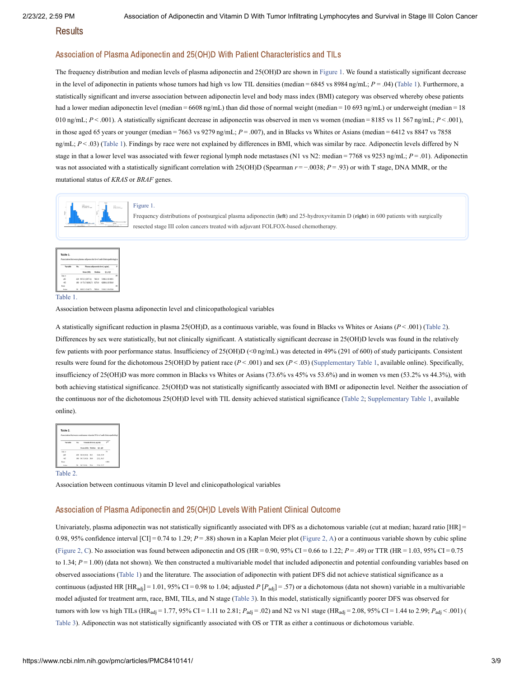Results

### Association of Plasma Adiponectin and 25(OH)D With Patient Characteristics and TILs

The frequency distribution and median levels of plasma adiponectin and 25(OH)D are shown in [Figure](https://www.ncbi.nlm.nih.gov/pmc/articles/PMC8410141/figure/pkab070-F1/?report=objectonly) 1. We found a statistically significant decrease in the level of adiponectin in patients whose tumors had high vs low TIL densities (median = 6845 vs 8984 ng/mL; *P* = .04) [\(Table](https://www.ncbi.nlm.nih.gov/pmc/articles/PMC8410141/table/pkab070-T1/?report=objectonly) 1). Furthermore, a statistically significant and inverse association between adiponectin level and body mass index (BMI) category was observed whereby obese patients had a lower median adiponectin level (median = 6608 ng/mL) than did those of normal weight (median = 10 693 ng/mL) or underweight (median = 18 010 ng/mL;  $P < 0.001$ ). A statistically significant decrease in adiponectin was observed in men vs women (median = 8185 vs 11 567 ng/mL;  $P < 0.001$ ), in those aged 65 years or younger (median = 7663 vs 9279 ng/mL; *P* = .007), and in Blacks vs Whites or Asians (median = 6412 vs 8847 vs 7858 ng/mL;  $P < 0.03$ ) [\(Table](https://www.ncbi.nlm.nih.gov/pmc/articles/PMC8410141/table/pkab070-T1/?report=objectonly) 1). Findings by race were not explained by differences in BMI, which was similar by race. Adiponectin levels differed by N stage in that a lower level was associated with fewer regional lymph node metastases (N1 vs N2: median = 7768 vs 9253 ng/mL;  $P = .01$ ). Adiponectin was not associated with a statistically significant correlation with 25(OH)D (Spearman *r* = −.0038; *P* = .93) or with T stage, DNA MMR, or the mutational status of *KRAS* or *BRAF* genes.



Frequency distributions of postsurgical plasma adiponectin (**left**) and 25-hydroxyvitamin D (**right**) in 600 patients with surgically resected stage III colon cancers treated with adjuvant FOLFOX-based chemotherapy.

|          |     | Association between plasma adiponectin level and clinicopathological |        |                  |  |  |
|----------|-----|----------------------------------------------------------------------|--------|------------------|--|--|
|          |     |                                                                      |        |                  |  |  |
| Variable | No. | Plasma adipenectin level, ng/ml.                                     |        |                  |  |  |
|          |     | Mean (SD)                                                            | Madise | 01.03            |  |  |
| Age, y   |     |                                                                      |        |                  |  |  |
| $-65$    |     | 420 9372.2 (5877.4)                                                  | 7663.0 | 5306.0, 12 419.5 |  |  |
| 365      |     | 180 10 751,7 (6382.7) 5279.0                                         |        | 6268.8, 13 581.8 |  |  |
| Race     |     |                                                                      |        |                  |  |  |
| Asian    |     | 99332 (5347.7)                                                       | 7858.0 | 5110.2, 13 653.0 |  |  |

#### [Table](https://www.ncbi.nlm.nih.gov/pmc/articles/PMC8410141/table/pkab070-T1/?report=objectonly) 1.

Association between plasma adiponectin level and clinicopathological variables

A statistically significant reduction in plasma 25(OH)D, as a continuous variable, was found in Blacks vs Whites or Asians (*P* < .001) ([Table](https://www.ncbi.nlm.nih.gov/pmc/articles/PMC8410141/table/pkab070-T2/?report=objectonly) 2). Differences by sex were statistically, but not clinically significant. A statistically significant decrease in 25(OH)D levels was found in the relatively few patients with poor performance status. Insufficiency of 25(OH)D (<0 ng/mL) was detected in 49% (291 of 600) of study participants. Consistent results were found for the dichotomous 25(OH)D by patient race (*P* < .001) and sex (*P* < .03) [\(Supplementary](#page-7-0) Table 1, available online). Specifically, insufficiency of 25(OH)D was more common in Blacks vs Whites or Asians (73.6% vs 45% vs 53.6%) and in women vs men (53.2% vs 44.3%), with both achieving statistical significance. 25(OH)D was not statistically significantly associated with BMI or adiponectin level. Neither the association of the continuous nor of the dichotomous 25(OH)D level with TIL density achieved statistical significance [\(Table](https://www.ncbi.nlm.nih.gov/pmc/articles/PMC8410141/table/pkab070-T2/?report=objectonly) 2; [Supplementary](#page-7-0) Table 1, available online).

| Association between continuous vitamin D level and clinicopatholog |     |                         |  |            |                |
|--------------------------------------------------------------------|-----|-------------------------|--|------------|----------------|
|                                                                    |     |                         |  |            |                |
|                                                                    |     |                         |  |            |                |
| <b><i>Variable</i></b>                                             | No. | Vitamia D level, agind. |  |            | $\overline{a}$ |
|                                                                    |     | Mean (SD) Median        |  | Q1, Q3     |                |
| Age, y                                                             |     |                         |  |            | .74            |
| 585                                                                |     | 420 30.9 (10.2) 30.3    |  | 24.0, 35.9 |                |
| $-65$                                                              |     | 180 30.7 (10.3) 30.0    |  | 23.2, 36.5 |                |
| Race                                                               |     |                         |  |            | $-000$         |
| Asian                                                              |     | 76 107/09: 704          |  | 25.0 M 2   |                |

[Table](https://www.ncbi.nlm.nih.gov/pmc/articles/PMC8410141/table/pkab070-T2/?report=objectonly) 2.

Association between continuous vitamin D level and clinicopathological variables

#### Association of Plasma Adiponectin and 25(OH)D Levels With Patient Clinical Outcome

Univariately, plasma adiponectin was not statistically significantly associated with DFS as a dichotomous variable (cut at median; hazard ratio [HR] = 0.98, 95% confidence interval [CI] = 0.74 to 1.29; *P* = .88) shown in a Kaplan Meier plot ([Figure](https://www.ncbi.nlm.nih.gov/pmc/articles/PMC8410141/figure/pkab070-F2/?report=objectonly) 2, A) or a continuous variable shown by cubic spline ([Figure](https://www.ncbi.nlm.nih.gov/pmc/articles/PMC8410141/figure/pkab070-F2/?report=objectonly) 2, C). No association was found between adiponectin and OS (HR = 0.90, 95% CI = 0.66 to 1.22; *P* = .49) or TTR (HR = 1.03, 95% CI = 0.75 to 1.34;  $P = 1.00$ ) (data not shown). We then constructed a multivariable model that included adiponectin and potential confounding variables based on observed associations [\(Table](https://www.ncbi.nlm.nih.gov/pmc/articles/PMC8410141/table/pkab070-T1/?report=objectonly) 1) and the literature. The association of adiponectin with patient DFS did not achieve statistical significance as a continuous (adjusted HR [HR<sub>adj</sub>] = 1.01, 95% CI = 0.98 to 1.04; adjusted  $P[P_{\text{adj}}] = .57$ ) or a dichotomous (data not shown) variable in a multivariable model adjusted for treatment arm, race, BMI, TILs, and N stage ([Table](https://www.ncbi.nlm.nih.gov/pmc/articles/PMC8410141/table/pkab070-T3/?report=objectonly) 3). In this model, statistically significantly poorer DFS was observed for tumors with low vs high TILs ( $HR_{adj} = 1.77$ , 95% CI = 1.11 to 2.81;  $P_{adj} = .02$ ) and N2 vs N1 stage ( $HR_{adj} = 2.08$ , 95% CI = 1.44 to 2.99;  $P_{adj} < .001$ ) ( [Table](https://www.ncbi.nlm.nih.gov/pmc/articles/PMC8410141/table/pkab070-T3/?report=objectonly) 3). Adiponectin was not statistically significantly associated with OS or TTR as either a continuous or dichotomous variable.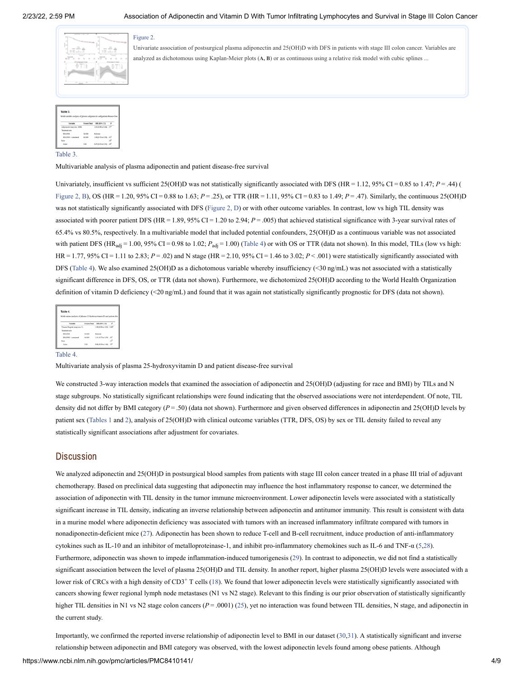

Univariate association of postsurgical plasma adiponectin and 25(OH)D with DFS in patients with stage III colon cancer. Variables are analyzed as dichotomous using Kaplan-Meier plots (**A, B**) or as continuous using a relative risk model with cubic splines ...

| Multivariable analysis of plasma adiponectin and patient disease-free |              |                                      |   |
|-----------------------------------------------------------------------|--------------|--------------------------------------|---|
|                                                                       |              |                                      |   |
| Variable                                                              | Exents/Total | BBR (95% CE)                         | ٠ |
| Adiponectin (step size: 1000)                                         |              | 1.01 (0.98 to 1.04) 57 <sup>2</sup>  |   |
| Treatment arm                                                         |              |                                      |   |
| <b>FOLEOX</b>                                                         | 56/169       | Referent                             |   |
| FOLFOX + conociousb                                                   | 66/169       | 1.09 (0.76 to 1.50) .63 <sup>1</sup> |   |
| Race                                                                  |              |                                      | w |
|                                                                       |              |                                      |   |

[Table](https://www.ncbi.nlm.nih.gov/pmc/articles/PMC8410141/table/pkab070-T3/?report=objectonly) 3.

Multivariable analysis of plasma adiponectin and patient disease-free survival

Univariately, insufficient vs sufficient 25(OH)D was not statistically significantly associated with DFS (HR = 1.12, 95% CI = 0.85 to 1.47; *P* = .44) ( [Figure](https://www.ncbi.nlm.nih.gov/pmc/articles/PMC8410141/figure/pkab070-F2/?report=objectonly) 2, B), OS (HR = 1.20, 95% CI = 0.88 to 1.63;  $P = 0.25$ ), or TTR (HR = 1.11, 95% CI = 0.83 to 1.49;  $P = 0.47$ ). Similarly, the continuous 25(OH)D was not statistically significantly associated with DFS ([Figure](https://www.ncbi.nlm.nih.gov/pmc/articles/PMC8410141/figure/pkab070-F2/?report=objectonly) 2, D) or with other outcome variables. In contrast, low vs high TIL density was associated with poorer patient DFS (HR = 1.89, 95% CI = 1.20 to 2.94;  $P = .005$ ) that achieved statistical significance with 3-year survival rates of 65.4% vs 80.5%, respectively. In a multivariable model that included potential confounders, 25(OH)D as a continuous variable was not associated with patient DFS ( $HR_{adj} = 1.00$ , 95% CI = 0.98 to 1.02;  $P_{adj} = 1.00$ ) [\(Table](https://www.ncbi.nlm.nih.gov/pmc/articles/PMC8410141/table/pkab070-T4/?report=objectonly) 4) or with OS or TTR (data not shown). In this model, TILs (low vs high: HR = 1.77, 95% CI = 1.11 to 2.83; *P* = .02) and N stage (HR = 2.10, 95% CI = 1.46 to 3.02; *P* < .001) were statistically significantly associated with DFS [\(Table](https://www.ncbi.nlm.nih.gov/pmc/articles/PMC8410141/table/pkab070-T4/?report=objectonly) 4). We also examined 25(OH)D as a dichotomous variable whereby insufficiency (<30 ng/mL) was not associated with a statistically significant difference in DFS, OS, or TTR (data not shown). Furthermore, we dichotomized 25(OH)D according to the World Health Organization definition of vitamin D deficiency (<20 ng/mL) and found that it was again not statistically significantly prognostic for DFS (data not shown).

| Multivariate analysis of plasma 25-hydroxyvitamin D and patient dis- |                                       |     |  |
|----------------------------------------------------------------------|---------------------------------------|-----|--|
|                                                                      |                                       |     |  |
|                                                                      |                                       |     |  |
| Exects/Total                                                         | <b>HR (95% CE)</b>                    | r   |  |
|                                                                      | 1.00 (0.98 to 1.02) 1.00 <sup>2</sup> |     |  |
|                                                                      |                                       |     |  |
| 56/169                                                               | Referent                              |     |  |
| 66/169                                                               | 1.11 (9.77 to 1.59) 58 <sup>2</sup>   |     |  |
|                                                                      |                                       |     |  |
|                                                                      |                                       | .yb |  |
|                                                                      |                                       |     |  |

#### [Table](https://www.ncbi.nlm.nih.gov/pmc/articles/PMC8410141/table/pkab070-T4/?report=objectonly) 4.

Multivariate analysis of plasma 25-hydroxyvitamin D and patient disease-free survival

We constructed 3-way interaction models that examined the association of adiponectin and 25(OH)D (adjusting for race and BMI) by TILs and N stage subgroups. No statistically significant relationships were found indicating that the observed associations were not interdependent. Of note, TIL density did not differ by BMI category ( $P = .50$ ) (data not shown). Furthermore and given observed differences in adiponectin and 25(OH)D levels by patient sex [\(Tables](https://www.ncbi.nlm.nih.gov/pmc/articles/PMC8410141/table/pkab070-T1/?report=objectonly) 1 [and](https://www.ncbi.nlm.nih.gov/pmc/articles/PMC8410141/table/pkab070-T2/?report=objectonly) 2), analysis of 25(OH)D with clinical outcome variables (TTR, DFS, OS) by sex or TIL density failed to reveal any statistically significant associations after adjustment for covariates.

## **Discussion**

We analyzed adiponectin and 25(OH)D in postsurgical blood samples from patients with stage III colon cancer treated in a phase III trial of adjuvant chemotherapy. Based on preclinical data suggesting that adiponectin may influence the host inflammatory response to cancer, we determined the association of adiponectin with TIL density in the tumor immune microenvironment. Lower adiponectin levels were associated with a statistically significant increase in TIL density, indicating an inverse relationship between adiponectin and antitumor immunity. This result is consistent with data in a murine model where adiponectin deficiency was associated with tumors with an increased inflammatory infiltrate compared with tumors in nonadiponectin-deficient mice [\(27](#page-9-5)). Adiponectin has been shown to reduce T-cell and B-cell recruitment, induce production of anti-inflammatory cytokines such as IL-10 and an inhibitor of metalloproteinase-1, and inhibit pro-inflammatory chemokines such as IL-6 and TNF-α [\(5](#page-8-4)[,28](#page-9-6)). Furthermore, adiponectin was shown to impede inflammation-induced tumorigenesis ([29\)](#page-9-7). In contrast to adiponectin, we did not find a statistically significant association between the level of plasma 25(OH)D and TIL density. In another report, higher plasma 25(OH)D levels were associated with a lower risk of CRCs with a high density of  $CD3^+$  T cells [\(18\)](#page-8-15). We found that lower adiponectin levels were statistically significantly associated with cancers showing fewer regional lymph node metastases (N1 vs N2 stage). Relevant to this finding is our prior observation of statistically significantly higher TIL densities in N1 vs N2 stage colon cancers ( $P = .0001$ ) [\(25\)](#page-9-3), yet no interaction was found between TIL densities, N stage, and adiponectin in the current study.

https://www.ncbi.nlm.nih.gov/pmc/articles/PMC8410141/ 4/9 Importantly, we confirmed the reported inverse relationship of adiponectin level to BMI in our dataset [\(30](#page-9-8)[,31](#page-9-9)). A statistically significant and inverse relationship between adiponectin and BMI category was observed, with the lowest adiponectin levels found among obese patients. Although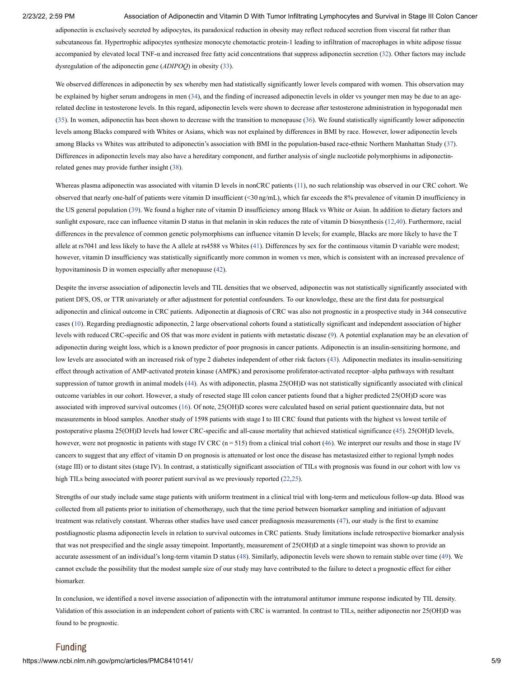adiponectin is exclusively secreted by adipocytes, its paradoxical reduction in obesity may reflect reduced secretion from visceral fat rather than subcutaneous fat. Hypertrophic adipocytes synthesize monocyte chemotactic protein-1 leading to infiltration of macrophages in white adipose tissue accompanied by elevated local TNF-α and increased free fatty acid concentrations that suppress adiponectin secretion [\(32](#page-9-10)). Other factors may include dysregulation of the adiponectin gene (*ADIPOQ*) in obesity [\(33](#page-9-11)).

We observed differences in adiponectin by sex whereby men had statistically significantly lower levels compared with women. This observation may be explained by higher serum androgens in men [\(34](#page-9-12)), and the finding of increased adiponectin levels in older vs younger men may be due to an agerelated decline in testosterone levels. In this regard, adiponectin levels were shown to decrease after testosterone administration in hypogonadal men ([35\)](#page-9-13). In women, adiponectin has been shown to decrease with the transition to menopause ([36](#page-9-14)). We found statistically significantly lower adiponectin levels among Blacks compared with Whites or Asians, which was not explained by differences in BMI by race. However, lower adiponectin levels among Blacks vs Whites was attributed to adiponectin's association with BMI in the population-based race-ethnic Northern Manhattan Study ([37\)](#page-9-15). Differences in adiponectin levels may also have a hereditary component, and further analysis of single nucleotide polymorphisms in adiponectinrelated genes may provide further insight ([38](#page-9-16)).

Whereas plasma adiponectin was associated with vitamin D levels in nonCRC patients ([11](#page-8-10)), no such relationship was observed in our CRC cohort. We observed that nearly one-half of patients were vitamin D insufficient (<30 ng/mL), which far exceeds the 8% prevalence of vitamin D insufficiency in the US general population ([39](#page-9-17)). We found a higher rate of vitamin D insufficiency among Black vs White or Asian. In addition to dietary factors and sunlight exposure, race can influence vitamin D status in that melanin in skin reduces the rate of vitamin D biosynthesis ([12](#page-8-11)[,40\)](#page-10-0). Furthermore, racial differences in the prevalence of common genetic polymorphisms can influence vitamin D levels; for example, Blacks are more likely to have the T allele at rs7041 and less likely to have the A allele at rs4588 vs Whites ([41\)](#page-10-1). Differences by sex for the continuous vitamin D variable were modest; however, vitamin D insufficiency was statistically significantly more common in women vs men, which is consistent with an increased prevalence of hypovitaminosis D in women especially after menopause [\(42\)](#page-10-2).

Despite the inverse association of adiponectin levels and TIL densities that we observed, adiponectin was not statistically significantly associated with patient DFS, OS, or TTR univariately or after adjustment for potential confounders. To our knowledge, these are the first data for postsurgical adiponectin and clinical outcome in CRC patients. Adiponectin at diagnosis of CRC was also not prognostic in a prospective study in 344 consecutive cases ([10](#page-8-9)). Regarding prediagnostic adiponectin, 2 large observational cohorts found a statistically significant and independent association of higher levels with reduced CRC-specific and OS that was more evident in patients with metastatic disease [\(9](#page-8-8)). A potential explanation may be an elevation of adiponectin during weight loss, which is a known predictor of poor prognosis in cancer patients. Adiponectin is an insulin-sensitizing hormone, and low levels are associated with an increased risk of type 2 diabetes independent of other risk factors [\(43\)](#page-10-3). Adiponectin mediates its insulin-sensitizing effect through activation of AMP-activated protein kinase (AMPK) and peroxisome proliferator-activated receptor–alpha pathways with resultant suppression of tumor growth in animal models ([44\)](#page-10-4). As with adiponectin, plasma 25(OH)D was not statistically significantly associated with clinical outcome variables in our cohort. However, a study of resected stage III colon cancer patients found that a higher predicted 25(OH)D score was associated with improved survival outcomes ([16\)](#page-8-17). Of note, 25(OH)D scores were calculated based on serial patient questionnaire data, but not measurements in blood samples. Another study of 1598 patients with stage I to III CRC found that patients with the highest vs lowest tertile of postoperative plasma 25(OH)D levels had lower CRC-specific and all-cause mortality that achieved statistical significance [\(45\)](#page-10-5). 25(OH)D levels, however, were not prognostic in patients with stage IV CRC  $(n = 515)$  from a clinical trial cohort [\(46\)](#page-10-6). We interpret our results and those in stage IV cancers to suggest that any effect of vitamin D on prognosis is attenuated or lost once the disease has metastasized either to regional lymph nodes (stage III) or to distant sites (stage IV). In contrast, a statistically significant association of TILs with prognosis was found in our cohort with low vs high TILs being associated with poorer patient survival as we previously reported ([22,](#page-9-18)[25\)](#page-9-3).

Strengths of our study include same stage patients with uniform treatment in a clinical trial with long-term and meticulous follow-up data. Blood was collected from all patients prior to initiation of chemotherapy, such that the time period between biomarker sampling and initiation of adjuvant treatment was relatively constant. Whereas other studies have used cancer prediagnosis measurements [\(47\)](#page-10-7), our study is the first to examine postdiagnostic plasma adiponectin levels in relation to survival outcomes in CRC patients. Study limitations include retrospective biomarker analysis that was not prespecified and the single assay timepoint. Importantly, measurement of 25(OH)D at a single timepoint was shown to provide an accurate assessment of an individual's long-term vitamin D status ([48\)](#page-10-8). Similarly, adiponectin levels were shown to remain stable over time [\(49](#page-10-9)). We cannot exclude the possibility that the modest sample size of our study may have contributed to the failure to detect a prognostic effect for either biomarker.

In conclusion, we identified a novel inverse association of adiponectin with the intratumoral antitumor immune response indicated by TIL density. Validation of this association in an independent cohort of patients with CRC is warranted. In contrast to TILs, neither adiponectin nor 25(OH)D was found to be prognostic.

#### Funding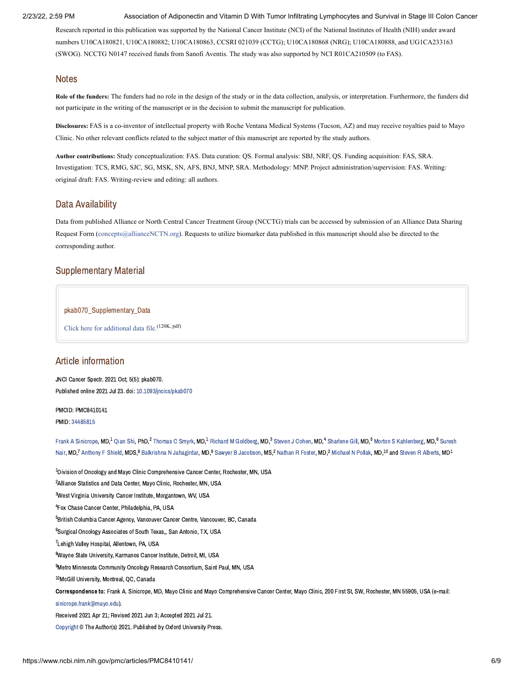Research reported in this publication was supported by the National Cancer Institute (NCI) of the National Institutes of Health (NIH) under award numbers U10CA180821, U10CA180882; U10CA180863, CCSRI 021039 (CCTG); U10CA180868 (NRG); U10CA180888, and UG1CA233163 (SWOG). NCCTG N0147 received funds from Sanofi Aventis. The study was also supported by NCI R01CA210509 (to FAS).

## **Notes**

**Role of the funders:** The funders had no role in the design of the study or in the data collection, analysis, or interpretation. Furthermore, the funders did not participate in the writing of the manuscript or in the decision to submit the manuscript for publication.

**Disclosures:** FAS is a co-inventor of intellectual property with Roche Ventana Medical Systems (Tucson, AZ) and may receive royalties paid to Mayo Clinic. No other relevant conflicts related to the subject matter of this manuscript are reported by the study authors.

**Author contributions:** Study conceptualization: FAS. Data curation: QS. Formal analysis: SBJ, NRF, QS. Funding acquisition: FAS, SRA. Investigation: TCS, RMG, SJC, SG, MSK, SN, AFS, BNJ, MNP, SRA. Methodology: MNP. Project administration/supervision: FAS. Writing: original draft: FAS. Writing-review and editing: all authors.

## Data Availability

Data from published Alliance or North Central Cancer Treatment Group (NCCTG) trials can be accessed by submission of an Alliance Data Sharing Request Form [\(concepts@allianceNCTN.org](mailto:dev@null)). Requests to utilize biomarker data published in this manuscript should also be directed to the corresponding author.

## <span id="page-7-0"></span>Supplementary Material

## pkab070\_Supplementary\_Data

Click here for [additional](https://www.ncbi.nlm.nih.gov/pmc/articles/PMC8410141/bin/pkab070_supplementary_data.pdf) data file. (120K, pdf)

## Article information

JNCI Cancer Spectr. 2021 Oct; 5(5): pkab070. Published online 2021 Jul 23. doi: [10.1093/jncics/pkab070](https://dx.doi.org/10.1093%2Fjncics%2Fpkab070)

PMCID: PMC8410141 PMID: [34485815](https://www.ncbi.nlm.nih.gov/pubmed/34485815)

Frank A [Sinicrope](https://www.ncbi.nlm.nih.gov/pubmed/?term=Sinicrope%20FA%5BAuthor%5D&cauthor=true&cauthor_uid=34485815), MD,<sup>1</sup> Oian Shi, PhD,<sup>2</sup> [Thomas](https://www.ncbi.nlm.nih.gov/pubmed/?term=Smyrk%20TC%5BAuthor%5D&cauthor=true&cauthor_uid=34485815) C Smyrk, MD,<sup>1</sup> Richard M [Goldberg](https://www.ncbi.nlm.nih.gov/pubmed/?term=Goldberg%20RM%5BAuthor%5D&cauthor=true&cauthor_uid=34485815), MD,<sup>3</sup> [Steven](https://www.ncbi.nlm.nih.gov/pubmed/?term=Cohen%20SJ%5BAuthor%5D&cauthor=true&cauthor_uid=34485815) J Cohen, MD,<sup>4</sup> [Sharlene](https://www.ncbi.nlm.nih.gov/pubmed/?term=Gill%20S%5BAuthor%5D&cauthor=true&cauthor_uid=34485815) Gill, MD,<sup>5</sup> Morton S [Kahlenber](https://www.ncbi.nlm.nih.gov/pubmed/?term=Kahlenberg%20MS%5BAuthor%5D&cauthor=true&cauthor_uid=34485815)[g,](https://www.ncbi.nlm.nih.gov/pubmed/?term=Nair%20S%5BAuthor%5D&cauthor=true&cauthor_uid=34485815) MD,<sup>6</sup> Suresh Nair, MD,<sup>7</sup> [Anthony](https://www.ncbi.nlm.nih.gov/pubmed/?term=Shield%20AF%5BAuthor%5D&cauthor=true&cauthor_uid=34485815) F Shield, MDS,<sup>8</sup> Balkrishna N [Jahagirdar](https://www.ncbi.nlm.nih.gov/pubmed/?term=Jahagirdar%20BN%5BAuthor%5D&cauthor=true&cauthor_uid=34485815), MD,<sup>9</sup> Sawyer B [Jacobson](https://www.ncbi.nlm.nih.gov/pubmed/?term=Jacobson%20SB%5BAuthor%5D&cauthor=true&cauthor_uid=34485815), MS,<sup>2</sup> [Nathan](https://www.ncbi.nlm.nih.gov/pubmed/?term=Foster%20NR%5BAuthor%5D&cauthor=true&cauthor_uid=34485815) R Foster, MD,<sup>2</sup> [Michael](https://www.ncbi.nlm.nih.gov/pubmed/?term=Pollak%20MN%5BAuthor%5D&cauthor=true&cauthor_uid=34485815) N Pollak, MD,<sup>10</sup> and Steven R [Alberts,](https://www.ncbi.nlm.nih.gov/pubmed/?term=Alberts%20SR%5BAuthor%5D&cauthor=true&cauthor_uid=34485815) MD<sup>1</sup>

 $^{\text{1}}$ Division of Oncology and Mayo Clinic Comprehensive Cancer Center, Rochester, MN, USA <sup>2</sup> Alliance Statistics and Data Center, Mavo Clinic, Rochester, MN, USA  ${}^{3}$ West Virginia University Cancer Institute, Morgantown, WV, USA <sup>4</sup> Fox Chase Cancer Center, Philadelphia, PA, USA <sup>5</sup>British Columbia Cancer Agency, Vancouver Cancer Centre, Vancouver, BC, Canada  $^6$ Surgical Oncology Associates of South Texas., San Antonio, TX, USA <sup>7</sup> Lehigh Valley Hospital, Allentown, PA, USA <sup>8</sup>Wayne State University, Karmanos Cancer Institute, Detroit, MI, USA <sup>9</sup>Metro Minnesota Community Oncology Research Consortium, Saint Paul, MN, USA <sup>10</sup>McGill University, Montreal, OC, Canada Correspondence to: Frank A. Sinicrope, MD, Mayo Clinic and Mayo Comprehensive Cancer Center, Mayo Clinic, 200 First St, SW, Rochester, MN 55905, USA (e-mail: [sinicrope.frank@mayo.edu\)](mailto:dev@null). Received 2021 Apr 21; Revised 2021 Jun 3; Accepted 2021 Jul 21. [Copyright](https://www.ncbi.nlm.nih.gov/pmc/about/copyright/) © The Author(s) 2021. Published by Oxford University Press.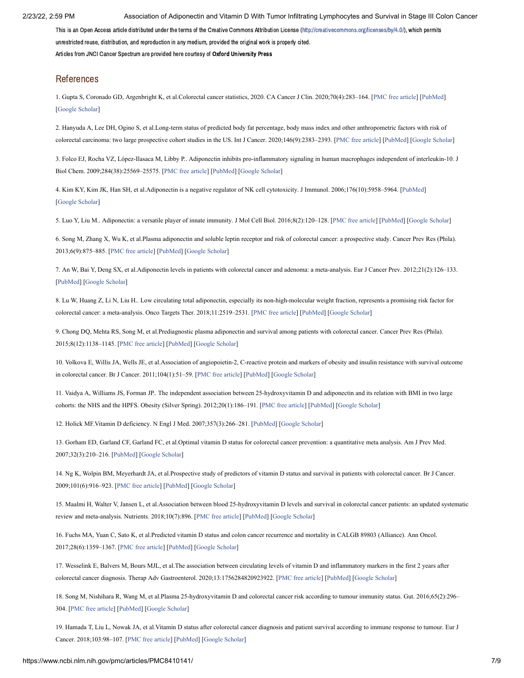This is an Open Access article distributed under the terms of the Creative Commons Attribution License [\(http://creativecommons.org/licenses/by/4.0/](https://creativecommons.org/licenses/by/4.0/)), which permits unrestricted reuse, distribution, and reproduction in any medium, provided the original work is properly cited. Articles from JNCI Cancer Spectrum are provided here courtesy of Oxford University Press

## References

<span id="page-8-0"></span>1. Gupta S, Coronado GD, Argenbright K, et al.Colorectal cancer statistics, 2020. CA Cancer J Clin. 2020;70(4):283–164. [\[PMC free article](https://www.ncbi.nlm.nih.gov/pmc/articles/PMC7523556/?report=reader)] [\[PubMed\]](https://www.ncbi.nlm.nih.gov/pubmed/32583884) [\[Google Scholar](https://scholar.google.com/scholar_lookup?journal=CA+Cancer+J+Clin&title=Colorectal+cancer+statistics,+2020&volume=70&issue=4&publication_year=2020&pages=283-164&pmid=32583884&)]

<span id="page-8-1"></span>2. Hanyuda A, Lee DH, Ogino S, et al.Long-term status of predicted body fat percentage, body mass index and other anthropometric factors with risk of colorectal carcinoma: two large prospective cohort studies in the US. Int J Cancer. 2020;146(9):2383–2393. [[PMC free article\]](https://www.ncbi.nlm.nih.gov/pmc/articles/PMC7282530/?report=reader) [[PubMed](https://www.ncbi.nlm.nih.gov/pubmed/31276608)] [\[Google Scholar](https://scholar.google.com/scholar_lookup?journal=Int+J+Cancer&title=Long-term+status+of+predicted+body+fat+percentage,+body+mass+index+and+other+anthropometric+factors+with+risk+of+colorectal+carcinoma:+two+large+prospective+cohort+studies+in+the+US&volume=146&issue=9&publication_year=2020&pages=2383-2393&pmid=31276608&)]

<span id="page-8-2"></span>3. Folco EJ, Rocha VZ, López-Ilasaca M, Libby P.. Adiponectin inhibits pro-inflammatory signaling in human macrophages independent of interleukin-10. J Biol Chem. 2009;284(38):25569–25575. [[PMC free article\]](https://www.ncbi.nlm.nih.gov/pmc/articles/PMC2757958/?report=reader) [[PubMed](https://www.ncbi.nlm.nih.gov/pubmed/19617629)] [[Google Scholar\]](https://scholar.google.com/scholar_lookup?journal=J+Biol+Chem&title=Adiponectin+inhibits+pro-inflammatory+signaling+in+human+macrophages+independent+of+interleukin-10&volume=284&issue=38&publication_year=2009&pages=25569-25575&pmid=19617629&)

<span id="page-8-3"></span>4. Kim KY, Kim JK, Han SH, et al.Adiponectin is a negative regulator of NK cell cytotoxicity. J Immunol. 2006;176(10):5958–5964. [\[PubMed](https://www.ncbi.nlm.nih.gov/pubmed/16670304)] [\[Google Scholar](https://scholar.google.com/scholar_lookup?journal=J+Immunol&title=Adiponectin+is+a+negative+regulator+of+NK+cell+cytotoxicity&volume=176&issue=10&publication_year=2006&pages=5958-5964&pmid=16670304&)]

<span id="page-8-4"></span>5. Luo Y, Liu M.. Adiponectin: a versatile player of innate immunity. J Mol Cell Biol. 2016;8(2):120–128. [[PMC free article\]](https://www.ncbi.nlm.nih.gov/pmc/articles/PMC4816149/?report=reader) [[PubMed\]](https://www.ncbi.nlm.nih.gov/pubmed/26993045) [\[Google Scholar\]](https://scholar.google.com/scholar_lookup?journal=J+Mol+Cell+Biol&title=Adiponectin:+a+versatile+player+of+innate+immunity&volume=8&issue=2&publication_year=2016&pages=120-128&pmid=26993045&)

<span id="page-8-5"></span>6. Song M, Zhang X, Wu K, et al.Plasma adiponectin and soluble leptin receptor and risk of colorectal cancer: a prospective study. Cancer Prev Res (Phila). 2013;6(9):875–885. [[PMC free article](https://www.ncbi.nlm.nih.gov/pmc/articles/PMC3772620/?report=reader)] [[PubMed](https://www.ncbi.nlm.nih.gov/pubmed/23872505)] [\[Google Scholar](https://scholar.google.com/scholar_lookup?journal=Cancer+Prev+Res+(Phila)&title=Plasma+adiponectin+and+soluble+leptin+receptor+and+risk+of+colorectal+cancer:+a+prospective+study&volume=6&issue=9&publication_year=2013&pages=875-885&pmid=23872505&)]

<span id="page-8-6"></span>7. An W, Bai Y, Deng SX, et al.Adiponectin levels in patients with colorectal cancer and adenoma: a meta-analysis. Eur J Cancer Prev. 2012;21(2):126–133. [\[PubMed\]](https://www.ncbi.nlm.nih.gov/pubmed/21960184) [[Google Scholar\]](https://scholar.google.com/scholar_lookup?journal=Eur+J+Cancer+Prev&title=Adiponectin+levels+in+patients+with+colorectal+cancer+and+adenoma:+a+meta-analysis&volume=21&issue=2&publication_year=2012&pages=126-133&pmid=21960184&)

<span id="page-8-7"></span>8. Lu W, Huang Z, Li N, Liu H.. Low circulating total adiponectin, especially its non-high-molecular weight fraction, represents a promising risk factor for colorectal cancer: a meta-analysis. Onco Targets Ther. 2018;11:2519–2531. [\[PMC free article](https://www.ncbi.nlm.nih.gov/pmc/articles/PMC5942166/?report=reader)] [\[PubMed](https://www.ncbi.nlm.nih.gov/pubmed/29765231)] [\[Google Scholar](https://scholar.google.com/scholar_lookup?journal=Onco+Targets+Ther&title=Low+circulating+total+adiponectin,+especially+its+non-high-molecular+weight+fraction,+represents+a+promising+risk+factor+for+colorectal+cancer:+a+meta-analysis&volume=11&publication_year=2018&pages=2519-2531&pmid=29765231&)]

<span id="page-8-8"></span>9. Chong DQ, Mehta RS, Song M, et al.Prediagnostic plasma adiponectin and survival among patients with colorectal cancer. Cancer Prev Res (Phila). 2015;8(12):1138–1145. [[PMC free article\]](https://www.ncbi.nlm.nih.gov/pmc/articles/PMC4670783/?report=reader) [[PubMed](https://www.ncbi.nlm.nih.gov/pubmed/26382604)] [[Google Scholar\]](https://scholar.google.com/scholar_lookup?journal=Cancer+Prev+Res+(Phila)&title=Prediagnostic+plasma+adiponectin+and+survival+among+patients+with+colorectal+cancer&volume=8&issue=12&publication_year=2015&pages=1138-1145&pmid=26382604&)

<span id="page-8-9"></span>10. Volkova E, Willis JA, Wells JE, et al.Association of angiopoietin-2, C-reactive protein and markers of obesity and insulin resistance with survival outcome in colorectal cancer. Br J Cancer. 2011;104(1):51–59. [[PMC free article](https://www.ncbi.nlm.nih.gov/pmc/articles/PMC3039823/?report=reader)] [\[PubMed](https://www.ncbi.nlm.nih.gov/pubmed/21081932)] [\[Google Scholar](https://scholar.google.com/scholar_lookup?journal=Br+J+Cancer&title=Association+of+angiopoietin-2,+C-reactive+protein+and+markers+of+obesity+and+insulin+resistance+with+survival+outcome+in+colorectal+cancer&volume=104&issue=1&publication_year=2011&pages=51-59&pmid=21081932&)]

<span id="page-8-10"></span>11. Vaidya A, Williams JS, Forman JP.. The independent association between 25-hydroxyvitamin D and adiponectin and its relation with BMI in two large cohorts: the NHS and the HPFS. Obesity (Silver Spring). 2012;20(1):186–191. [[PMC free article\]](https://www.ncbi.nlm.nih.gov/pmc/articles/PMC3461263/?report=reader) [[PubMed](https://www.ncbi.nlm.nih.gov/pubmed/21760630)] [\[Google Scholar\]](https://scholar.google.com/scholar_lookup?journal=Obesity+(Silver+Spring).&title=The+independent+association+between+25-hydroxyvitamin+D+and+adiponectin+and+its+relation+with+BMI+in+two+large+cohorts:+the+NHS+and+the+HPFS&volume=20&issue=1&publication_year=2012&pages=186-191&pmid=21760630&)

<span id="page-8-11"></span>12. Holick MF.Vitamin D deficiency. N Engl J Med. 2007;357(3):266–281. [\[PubMed\]](https://www.ncbi.nlm.nih.gov/pubmed/17634462) [\[Google Scholar\]](https://scholar.google.com/scholar_lookup?journal=N+Engl+J+Med&title=Vitamin+D+deficiency&volume=357&issue=3&publication_year=2007&pages=266-281&pmid=17634462&)

<span id="page-8-12"></span>13. Gorham ED, Garland CF, Garland FC, et al.Optimal vitamin D status for colorectal cancer prevention: a quantitative meta analysis. Am J Prev Med. 2007;32(3):210–216. [[PubMed](https://www.ncbi.nlm.nih.gov/pubmed/17296473)] [[Google Scholar](https://scholar.google.com/scholar_lookup?journal=Am+J+Prev+Med&title=Optimal+vitamin+D+status+for+colorectal+cancer+prevention:+a+quantitative+meta+analysis&volume=32&issue=3&publication_year=2007&pages=210-216&pmid=17296473&)]

<span id="page-8-13"></span>14. Ng K, Wolpin BM, Meyerhardt JA, et al.Prospective study of predictors of vitamin D status and survival in patients with colorectal cancer. Br J Cancer. 2009;101(6):916–923. [[PMC free article](https://www.ncbi.nlm.nih.gov/pmc/articles/PMC2743349/?report=reader)] [\[PubMed\]](https://www.ncbi.nlm.nih.gov/pubmed/19690551) [[Google Scholar\]](https://scholar.google.com/scholar_lookup?journal=Br+J+Cancer&title=Prospective+study+of+predictors+of+vitamin+D+status+and+survival+in+patients+with+colorectal+cancer&volume=101&issue=6&publication_year=2009&pages=916-923&pmid=19690551&)

15. Maalmi H, Walter V, Jansen L, et al.Association between blood 25-hydroxyvitamin D levels and survival in colorectal cancer patients: an updated systematic review and meta-analysis. Nutrients. 2018;10(7):896. [\[PMC free article\]](https://www.ncbi.nlm.nih.gov/pmc/articles/PMC6073902/?report=reader) [\[PubMed\]](https://www.ncbi.nlm.nih.gov/pubmed/30011816) [\[Google Scholar\]](https://scholar.google.com/scholar_lookup?journal=Nutrients&title=Association+between+blood+25-hydroxyvitamin+D+levels+and+survival+in+colorectal+cancer+patients:+an+updated+systematic+review+and+meta-analysis&volume=10&issue=7&publication_year=2018&)

<span id="page-8-17"></span>16. Fuchs MA, Yuan C, Sato K, et al.Predicted vitamin D status and colon cancer recurrence and mortality in CALGB 89803 (Alliance). Ann Oncol. 2017;28(6):1359–1367. [[PMC free article](https://www.ncbi.nlm.nih.gov/pmc/articles/PMC5789809/?report=reader)] [\[PubMed](https://www.ncbi.nlm.nih.gov/pubmed/28327908)] [\[Google Scholar](https://scholar.google.com/scholar_lookup?journal=Ann+Oncol&title=Predicted+vitamin+D+status+and+colon+cancer+recurrence+and+mortality+in+CALGB+89803+(Alliance)&volume=28&issue=6&publication_year=2017&pages=1359-1367&pmid=28327908&)]

<span id="page-8-14"></span>17. Wesselink E, Balvers M, Bours MJL, et al.The association between circulating levels of vitamin D and inflammatory markers in the first 2 years after colorectal cancer diagnosis. Therap Adv Gastroenterol. 2020;13:1756284820923922. [\[PMC free article\]](https://www.ncbi.nlm.nih.gov/pmc/articles/PMC7273344/?report=reader) [\[PubMed\]](https://www.ncbi.nlm.nih.gov/pubmed/32547638) [\[Google Scholar](https://scholar.google.com/scholar_lookup?journal=Therap+Adv+Gastroenterol&title=The+association+between+circulating+levels+of+vitamin+D+and+inflammatory+markers+in+the+first+2+years+after+colorectal+cancer+diagnosis&volume=13&publication_year=2020&pages=1756284820923922&)]

<span id="page-8-15"></span>18. Song M, Nishihara R, Wang M, et al.Plasma 25-hydroxyvitamin D and colorectal cancer risk according to tumour immunity status. Gut. 2016;65(2):296– 304. [\[PMC free article](https://www.ncbi.nlm.nih.gov/pmc/articles/PMC4503524/?report=reader)] [\[PubMed\]](https://www.ncbi.nlm.nih.gov/pubmed/25591978) [[Google Scholar\]](https://scholar.google.com/scholar_lookup?journal=Gut&title=Plasma+25-hydroxyvitamin+D+and+colorectal+cancer+risk+according+to+tumour+immunity+status&volume=65&issue=2&publication_year=2016&pages=296-304&pmid=25591978&)

<span id="page-8-16"></span>19. Hamada T, Liu L, Nowak JA, et al.Vitamin D status after colorectal cancer diagnosis and patient survival according to immune response to tumour. Eur J Cancer. 2018;103:98–107. [\[PMC free article](https://www.ncbi.nlm.nih.gov/pmc/articles/PMC6195453/?report=reader)] [[PubMed\]](https://www.ncbi.nlm.nih.gov/pubmed/30219720) [\[Google Scholar\]](https://scholar.google.com/scholar_lookup?journal=Eur+J+Cancer&title=Vitamin+D+status+after+colorectal+cancer+diagnosis+and+patient+survival+according+to+immune+response+to+tumour&volume=103&publication_year=2018&pages=98-107&pmid=30219720&)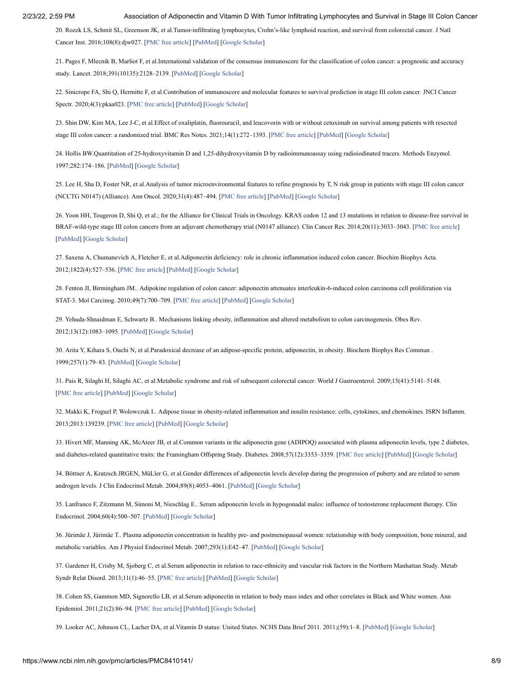<span id="page-9-0"></span>20. Rozek LS, Schmit SL, Greenson JK, et al.Tumor-infiltrating lymphocytes, Crohn's-like lymphoid reaction, and survival from colorectal cancer. J Natl Cancer Inst. 2016;108(8):djw027. [\[PMC free article\]](https://www.ncbi.nlm.nih.gov/pmc/articles/PMC5017930/?report=reader) [[PubMed](https://www.ncbi.nlm.nih.gov/pubmed/27172903)] [\[Google Scholar](https://scholar.google.com/scholar_lookup?journal=J+Natl+Cancer+Inst&title=Tumor-infiltrating+lymphocytes,+Crohn%E2%80%99s-like+lymphoid+reaction,+and+survival+from+colorectal+cancer&volume=108&publication_year=2016&)]

21. Pages F, Mlecnik B, Marliot F, et al.International validation of the consensus immunoscore for the classification of colon cancer: a prognostic and accuracy study. Lancet. 2018;391(10135):2128–2139. [\[PubMed](https://www.ncbi.nlm.nih.gov/pubmed/29754777)] [\[Google Scholar](https://scholar.google.com/scholar_lookup?journal=Lancet&title=International+validation+of+the+consensus+immunoscore+for+the+classification+of+colon+cancer:+a+prognostic+and+accuracy+study&volume=391&issue=10135&publication_year=2018&pages=2128-2139&pmid=29754777&)]

<span id="page-9-18"></span>22. Sinicrope FA, Shi Q, Hermitte F, et al.Contribution of immunoscore and molecular features to survival prediction in stage III colon cancer. JNCI Cancer Spectr. 2020;4(3):pkaa023. [\[PMC free article\]](https://www.ncbi.nlm.nih.gov/pmc/articles/PMC7236783/?report=reader) [\[PubMed\]](https://www.ncbi.nlm.nih.gov/pubmed/32455336) [\[Google Scholar](https://scholar.google.com/scholar_lookup?journal=JNCI+Cancer+Spectr&title=Contribution+of+immunoscore+and+molecular+features+to+survival+prediction+in+stage+III+colon+cancer&volume=4&issue=3&publication_year=2020&pages=pkaa023&pmid=32455336&)]

<span id="page-9-1"></span>23. Shin DW, Kim MA, Lee J-C, et al.Effect of oxaliplatin, fluorouracil, and leucovorin with or without cetuximab on survival among patients with resected stage III colon cancer: a randomized trial. BMC Res Notes. 2021;14(1):272–1393. [\[PMC free article](https://www.ncbi.nlm.nih.gov/pmc/articles/PMC3442260/?report=reader)] [\[PubMed\]](https://www.ncbi.nlm.nih.gov/pubmed/22474202) [[Google Scholar\]](https://scholar.google.com/scholar_lookup?journal=BMC+Res+Notes&title=Effect+of+oxaliplatin,+fluorouracil,+and+leucovorin+with+or+without+cetuximab+on+survival+among+patients+with+resected+stage+III+colon+cancer:+a+randomized+trial&volume=14&issue=1&publication_year=2021&pages=272-1393&pmid=34266478&)

<span id="page-9-2"></span>24. Hollis BW.Quantitation of 25-hydroxyvitamin D and 1,25-dihydroxyvitamin D by radioimmunoassay using radioiodinated tracers. Methods Enzymol. 1997;282:174–186. [[PubMed\]](https://www.ncbi.nlm.nih.gov/pubmed/9330287) [\[Google Scholar](https://scholar.google.com/scholar_lookup?journal=Methods+Enzymol&title=Quantitation+of+25-hydroxyvitamin+D+and+1,25-dihydroxyvitamin+D+by+radioimmunoassay+using+radioiodinated+tracers&volume=282&publication_year=1997&pages=174-186&pmid=9330287&)]

<span id="page-9-3"></span>25. Lee H, Sha D, Foster NR, et al.Analysis of tumor microenvironmental features to refine prognosis by T, N risk group in patients with stage III colon cancer (NCCTG N0147) (Alliance). Ann Oncol. 2020;31(4):487–494. [\[PMC free article\]](https://www.ncbi.nlm.nih.gov/pmc/articles/PMC7372727/?report=reader) [[PubMed\]](https://www.ncbi.nlm.nih.gov/pubmed/32165096) [[Google Scholar](https://scholar.google.com/scholar_lookup?journal=Ann+Oncol&title=Analysis+of+tumor+microenvironmental+features+to+refine+prognosis+by+T,+N+risk+group+in+patients+with+stage+III+colon+cancer+(NCCTG+N0147)+(Alliance)&volume=31&issue=4&publication_year=2020&pages=487-494&pmid=32165096&)]

<span id="page-9-4"></span>26. Yoon HH, Tougeron D, Shi Q, et al.; for the Alliance for Clinical Trials in Oncology. KRAS codon 12 and 13 mutations in relation to disease-free survival in BRAF-wild-type stage III colon cancers from an adjuvant chemotherapy trial (N0147 alliance). Clin Cancer Res. 2014;20(11):3033–3043. [[PMC free article](https://www.ncbi.nlm.nih.gov/pmc/articles/PMC4040326/?report=reader)] [\[PubMed\]](https://www.ncbi.nlm.nih.gov/pubmed/24687927) [[Google Scholar\]](https://scholar.google.com/scholar_lookup?journal=Clin+Cancer+Res&title=KRAS+codon+12+and+13+mutations+in+relation+to+disease-free+survival+in+BRAF-wild-type+stage+III+colon+cancers+from+an+adjuvant+chemotherapy+trial+(N0147+alliance)&volume=20&issue=11&publication_year=2014&pages=3033-3043&pmid=24687927&)

<span id="page-9-5"></span>27. Saxena A, Chumanevich A, Fletcher E, et al.Adiponectin deficiency: role in chronic inflammation induced colon cancer. Biochim Biophys Acta. 2012;1822(4):527–536. [[PMC free article](https://www.ncbi.nlm.nih.gov/pmc/articles/PMC3961716/?report=reader)] [\[PubMed](https://www.ncbi.nlm.nih.gov/pubmed/22198319)] [\[Google Scholar](https://scholar.google.com/scholar_lookup?journal=Biochim+Biophys+Acta&title=Adiponectin+deficiency:+role+in+chronic+inflammation+induced+colon+cancer&volume=1822&issue=4&publication_year=2012&pages=527-536&pmid=22198319&)]

<span id="page-9-6"></span>28. Fenton JI, Birmingham JM.. Adipokine regulation of colon cancer: adiponectin attenuates interleukin-6-induced colon carcinoma cell proliferation via STAT-3. Mol Carcinog. 2010;49(7):700–709. [\[PMC free article](https://www.ncbi.nlm.nih.gov/pmc/articles/PMC2908512/?report=reader)] [[PubMed\]](https://www.ncbi.nlm.nih.gov/pubmed/20564347) [\[Google Scholar](https://scholar.google.com/scholar_lookup?journal=Mol+Carcinog&title=Adipokine+regulation+of+colon+cancer:+adiponectin+attenuates+interleukin-6-induced+colon+carcinoma+cell+proliferation+via+STAT-3&volume=49&issue=7&publication_year=2010&pages=700-709&pmid=20564347&)]

<span id="page-9-7"></span>29. Yehuda-Shnaidman E, Schwartz B.. Mechanisms linking obesity, inflammation and altered metabolism to colon carcinogenesis. Obes Rev. 2012;13(12):1083–1095. [\[PubMed](https://www.ncbi.nlm.nih.gov/pubmed/22937964)] [[Google Scholar](https://scholar.google.com/scholar_lookup?journal=Obes+Rev&title=Mechanisms+linking+obesity,+inflammation+and+altered+metabolism+to+colon+carcinogenesis&volume=13&issue=12&publication_year=2012&pages=1083-1095&pmid=22937964&)]

<span id="page-9-8"></span>30. Arita Y, Kihara S, Ouchi N, et al.Paradoxical decrease of an adipose-specific protein, adiponectin, in obesity. Biochem Biophys Res Commun . 1999;257(1):79–83. [[PubMed](https://www.ncbi.nlm.nih.gov/pubmed/10092513)] [[Google Scholar](https://scholar.google.com/scholar_lookup?journal=Biochem+Biophys+Res+Commun&title=Paradoxical+decrease+of+an+adipose-specific+protein,+adiponectin,+in+obesity&volume=257&issue=1&publication_year=1999&pages=79-83&pmid=10092513&)]

<span id="page-9-9"></span>31. Pais R, Silaghi H, Silaghi AC, et al.Metabolic syndrome and risk of subsequent colorectal cancer. World J Gastroenterol. 2009;15(41):5141–5148. [\[PMC free article\]](https://www.ncbi.nlm.nih.gov/pmc/articles/PMC2773892/?report=reader) [\[PubMed\]](https://www.ncbi.nlm.nih.gov/pubmed/19891012) [\[Google Scholar\]](https://scholar.google.com/scholar_lookup?journal=World+J+Gastroenterol&title=Metabolic+syndrome+and+risk+of+subsequent+colorectal+cancer&volume=15&issue=41&publication_year=2009&pages=5141-5148&pmid=19891012&)

<span id="page-9-10"></span>32. Makki K, Froguel P, Wolowczuk I.. Adipose tissue in obesity-related inflammation and insulin resistance: cells, cytokines, and chemokines. ISRN Inflamm. 2013;2013:139239. [[PMC free article\]](https://www.ncbi.nlm.nih.gov/pmc/articles/PMC3881510/?report=reader) [[PubMed](https://www.ncbi.nlm.nih.gov/pubmed/24455420)] [\[Google Scholar\]](https://scholar.google.com/scholar_lookup?journal=ISRN+Inflamm&title=Adipose+tissue+in+obesity-related+inflammation+and+insulin+resistance:+cells,+cytokines,+and+chemokines&volume=2013&publication_year=2013&pages=139239&pmid=24455420&)

<span id="page-9-11"></span>33. Hivert MF, Manning AK, McAteer JB, et al.Common variants in the adiponectin gene (ADIPOQ) associated with plasma adiponectin levels, type 2 diabetes, and diabetes-related quantitative traits: the Framingham Offspring Study. Diabetes. 2008;57(12):3353–3359. [[PMC free article\]](https://www.ncbi.nlm.nih.gov/pmc/articles/PMC2584143/?report=reader) [[PubMed](https://www.ncbi.nlm.nih.gov/pubmed/18776141)] [[Google Scholar\]](https://scholar.google.com/scholar_lookup?journal=Diabetes&title=Common+variants+in+the+adiponectin+gene+(ADIPOQ)+associated+with+plasma+adiponectin+levels,+type+2+diabetes,+and+diabetes-related+quantitative+traits:+the+Framingham+Offspring+Study&volume=57&issue=12&publication_year=2008&pages=3353-3359&pmid=18776141&)

<span id="page-9-12"></span>34. Böttner A, Kratzsch JRGEN, MüLler G, et al.Gender differences of adiponectin levels develop during the progression of puberty and are related to serum androgen levels. J Clin Endocrinol Metab. 2004;89(8):4053–4061. [\[PubMed](https://www.ncbi.nlm.nih.gov/pubmed/15292348)] [\[Google Scholar](https://scholar.google.com/scholar_lookup?journal=J+Clin+Endocrinol+Metab&title=Gender+differences+of+adiponectin+levels+develop+during+the+progression+of+puberty+and+are+related+to+serum+androgen+levels&volume=89&issue=8&publication_year=2004&pages=4053-4061&pmid=15292348&)]

<span id="page-9-13"></span>35. Lanfranco F, Zitzmann M, Simoni M, Nieschlag E.. Serum adiponectin levels in hypogonadal males: influence of testosterone replacement therapy. Clin Endocrinol. 2004;60(4):500–507. [[PubMed\]](https://www.ncbi.nlm.nih.gov/pubmed/15049966) [\[Google Scholar](https://scholar.google.com/scholar_lookup?journal=Clin+Endocrinol&title=Serum+adiponectin+levels+in+hypogonadal+males:+influence+of+testosterone+replacement+therapy&volume=60&issue=4&publication_year=2004&pages=500-507&)]

<span id="page-9-14"></span>36. Jürimäe J, Jürimäe T.. Plasma adiponectin concentration in healthy pre- and postmenopausal women: relationship with body composition, bone mineral, and metabolic variables. Am J Physiol Endocrinol Metab. 2007;293(1):E42–47. [[PubMed\]](https://www.ncbi.nlm.nih.gov/pubmed/17341545) [[Google Scholar\]](https://scholar.google.com/scholar_lookup?journal=Am+J+Physiol+Endocrinol+Metab&title=Plasma+adiponectin+concentration+in+healthy+pre-+and+postmenopausal+women:+relationship+with+body+composition,+bone+mineral,+and+metabolic+variables&volume=293&issue=1&publication_year=2007&pages=E42-47&pmid=17341545&)

<span id="page-9-15"></span>37. Gardener H, Crisby M, Sjoberg C, et al.Serum adiponectin in relation to race-ethnicity and vascular risk factors in the Northern Manhattan Study. Metab Syndr Relat Disord. 2013;11(1):46–55. [\[PMC free article\]](https://www.ncbi.nlm.nih.gov/pmc/articles/PMC3593695/?report=reader) [[PubMed](https://www.ncbi.nlm.nih.gov/pubmed/23127161)] [[Google Scholar\]](https://scholar.google.com/scholar_lookup?journal=Metab+Syndr+Relat+Disord&title=Serum+adiponectin+in+relation+to+race-ethnicity+and+vascular+risk+factors+in+the+Northern+Manhattan+Study&volume=11&issue=1&publication_year=2013&pages=46-55&pmid=23127161&)

<span id="page-9-16"></span>38. Cohen SS, Gammon MD, Signorello LB, et al.Serum adiponectin in relation to body mass index and other correlates in Black and White women. Ann Epidemiol. 2011;21(2):86–94. [\[PMC free article](https://www.ncbi.nlm.nih.gov/pmc/articles/PMC3018848/?report=reader)] [[PubMed\]](https://www.ncbi.nlm.nih.gov/pubmed/21109453) [[Google Scholar](https://scholar.google.com/scholar_lookup?journal=Ann+Epidemiol&title=Serum+adiponectin+in+relation+to+body+mass+index+and+other+correlates+in+Black+and+White+women&volume=21&issue=2&publication_year=2011&pages=86-94&pmid=21109453&)]

<span id="page-9-17"></span>39. Looker AC, Johnson CL, Lacher DA, et al.Vitamin D status: United States. NCHS Data Brief 2011. 2011;(59):1–8. [\[PubMed\]](https://www.ncbi.nlm.nih.gov/pubmed/21592422) [[Google Scholar](https://scholar.google.com/scholar_lookup?journal=NCHS+Data+Brief+2011&title=Vitamin+D+status:+United+States&issue=59&publication_year=2011&pages=1-8&)]